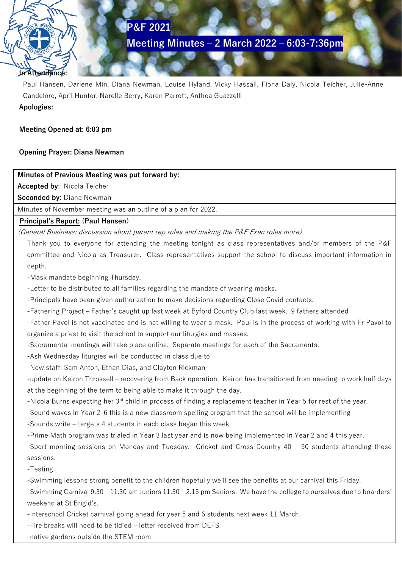# **P&F 2021**

**Meeting Minutes – 2 March 2022 – 6:03-7:36pm**

## **In Attendance:**

Paul Hansen, Darlene Min, Diana Newman, Louise Hyland, Vicky Hassall, Fiona Daly, Nicola Teicher, Julie-Anne Candeloro, April Hunter, Narelle Berry, Karen Parrott, Anthea Guazzelli **Apologies:**

## **Meeting Opened at: 6:03 pm**

## **Opening Prayer: Diana Newman**

## **Minutes of Previous Meeting was put forward by:**

**Accepted by**: Nicola Teicher

**Seconded by:** Diana Newman

Minutes of November meeting was an outline of a plan for 2022.

## **Principal's Report: (Paul Hansen)**

(General Business: discussion about parent rep roles and making the P&F Exec roles more)

Thank you to everyone for attending the meeting tonight as class representatives and/or members of the P&F committee and Nicola as Treasurer. Class representatives support the school to discuss important information in depth.

-Mask mandate beginning Thursday.

-Letter to be distributed to all families regarding the mandate of wearing masks.

-Principals have been given authorization to make decisions regarding Close Covid contacts.

-Fathering Project – Father's caught up last week at Byford Country Club last week. 9 fathers attended

-Father Pavol is not vaccinated and is not willing to wear a mask. Paul is in the process of working with Fr Pavol to organize a priest to visit the school to support our liturgies and masses.

-Sacramental meetings will take place online. Separate meetings for each of the Sacraments.

-Ash Wednesday liturgies will be conducted in class due to

-New staff: Sam Anton, Ethan Dias, and Clayton Rickman

-update on Keiron Throssell – recovering from Back operation. Keiron has transitioned from needing to work half days at the beginning of the term to being able to make it through the day.

-Nicola Burns expecting her 3<sup>rd</sup> child in process of finding a replacement teacher in Year 5 for rest of the year.

-Sound waves in Year 2-6 this is a new classroom spelling program that the school will be implementing

-Sounds write – targets 4 students in each class began this week

-Prime Math program was trialed in Year 3 last year and is now being implemented in Year 2 and 4 this year.

-Sport morning sessions on Monday and Tuesday. Cricket and Cross Country 40 – 50 students attending these sessions.

-Testing

-Swimming lessons strong benefit to the children hopefully we'll see the benefits at our carnival this Friday.

-Swimming Carnival 9.30 – 11.30 am Juniors 11.30 – 2.15 pm Seniors. We have the college to ourselves due to boarders' weekend at St Brigid's.

-Interschool Cricket carnival going ahead for year 5 and 6 students next week 11 March.

-Fire breaks will need to be tidied – letter received from DEFS

-native gardens outside the STEM room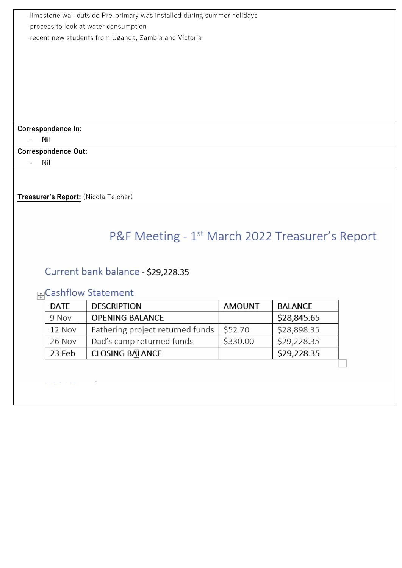| -limestone wall outside Pre-primary was installed during summer holidays |               |                |  |  |
|--------------------------------------------------------------------------|---------------|----------------|--|--|
| -process to look at water consumption                                    |               |                |  |  |
| -recent new students from Uganda, Zambia and Victoria                    |               |                |  |  |
|                                                                          |               |                |  |  |
|                                                                          |               |                |  |  |
|                                                                          |               |                |  |  |
|                                                                          |               |                |  |  |
|                                                                          |               |                |  |  |
|                                                                          |               |                |  |  |
|                                                                          |               |                |  |  |
| Correspondence In:                                                       |               |                |  |  |
| <b>Nil</b>                                                               |               |                |  |  |
| <b>Correspondence Out:</b>                                               |               |                |  |  |
| Nil                                                                      |               |                |  |  |
|                                                                          |               |                |  |  |
| Treasurer's Report: (Nicola Teicher)                                     |               |                |  |  |
|                                                                          |               |                |  |  |
|                                                                          |               |                |  |  |
|                                                                          |               |                |  |  |
| P&F Meeting - 1 <sup>st</sup> March 2022 Treasurer's Report              |               |                |  |  |
|                                                                          |               |                |  |  |
|                                                                          |               |                |  |  |
| Current bank balance - \$29,228.35                                       |               |                |  |  |
| 中Cashflow Statement                                                      |               |                |  |  |
| <b>DATE</b><br><b>DESCRIPTION</b>                                        | <b>AMOUNT</b> | <b>BALANCE</b> |  |  |
| <b>OPENING BALANCE</b><br>9 Nov                                          |               | \$28,845.65    |  |  |
| Fathering project returned funds<br>12 Nov                               | \$52.70       | \$28,898.35    |  |  |
| Dad's camp returned funds<br>26 Nov                                      | \$330.00      | \$29,228.35    |  |  |
|                                                                          |               |                |  |  |
| <b>CLOSING BALANCE</b><br>23 Feb                                         |               | \$29,228.35    |  |  |
|                                                                          |               |                |  |  |
|                                                                          |               |                |  |  |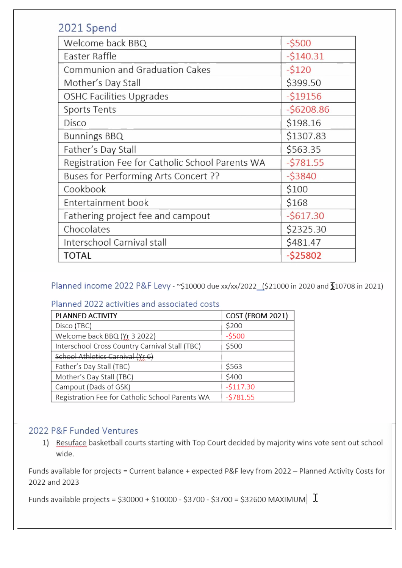# 2021 Spend

| Welcome back BBQ                                | $-5500$     |
|-------------------------------------------------|-------------|
| Easter Raffle                                   | $-5140.31$  |
| Communion and Graduation Cakes                  | $-5120$     |
| Mother's Day Stall                              | \$399.50    |
| <b>OSHC Facilities Upgrades</b>                 | $-519156$   |
| <b>Sports Tents</b>                             | $-56208.86$ |
| Disco                                           | \$198.16    |
| <b>Bunnings BBQ</b>                             | \$1307.83   |
| Father's Day Stall                              | \$563.35    |
| Registration Fee for Catholic School Parents WA | $-5781.55$  |
| Buses for Performing Arts Concert ??            | $-53840$    |
| Cookbook                                        | \$100       |
| Entertainment book                              | \$168       |
| Fathering project fee and campout               | $-5617.30$  |
| Chocolates                                      | \$2325.30   |
| Interschool Carnival stall                      | \$481.47    |
| TOTAL                                           | $-525802$   |

Planned income 2022 P&F Levy - ~\$10000 due xx/xx/2022\_(\$21000 in 2020 and \$10708 in 2021)

## Planned 2022 activities and associated costs

| PLANNED ACTIVITY                                | COST (FROM 2021) |
|-------------------------------------------------|------------------|
| Disco (TBC)                                     | \$200            |
| Welcome back BBQ (Yr 3 2022)                    | $-5500$          |
| Interschool Cross Country Carnival Stall (TBC)  | \$500            |
| School Athletics Carnival (Yr 6)                |                  |
| Father's Day Stall (TBC)                        | \$563            |
| Mother's Day Stall (TBC)                        | \$400            |
| Campout (Dads of GSK)                           | $-5117.30$       |
| Registration Fee for Catholic School Parents WA | $-5781.55$       |

## 2022 P&F Funded Ventures

1) Resuface basketball courts starting with Top Court decided by majority wins vote sent out school wide.

Funds available for projects = Current balance + expected P&F levy from 2022 - Planned Activity Costs for 2022 and 2023

Funds available projects =  $$30000 + $10000 - $3700 - $3700 = $32600$  MAXIMUM  $\boxed{\text{I}}$